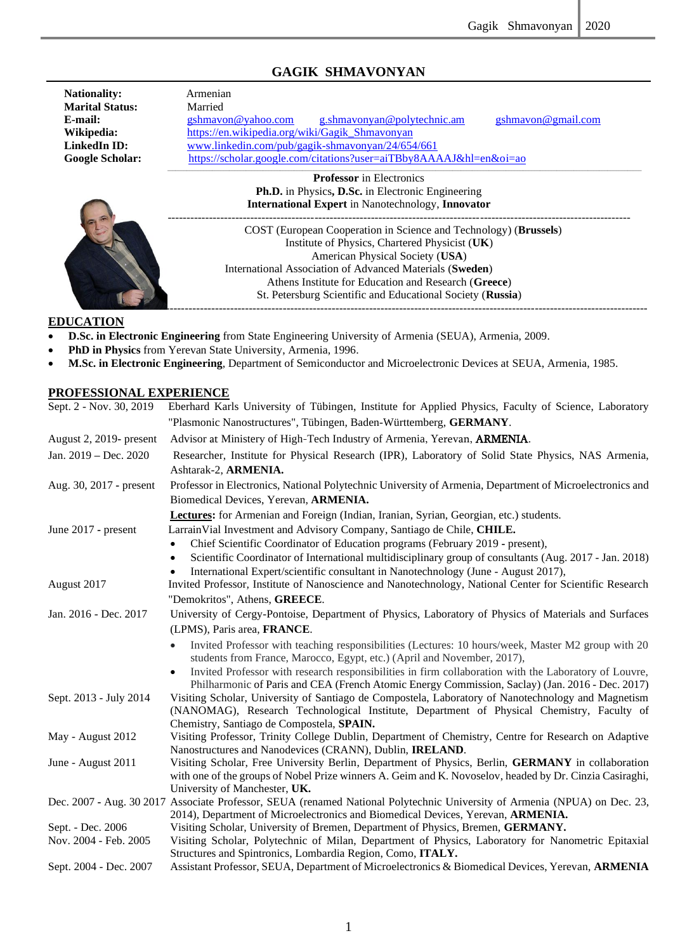# **GAGIK SHMAVONYAN**

| <b>Nationality:</b><br><b>Marital Status:</b><br>E-mail:<br>Wikipedia:<br>LinkedIn ID: | Armenian<br>Married<br>g.shmavonyan@polytechnic.am<br>gshmavon@yahoo.com<br>gshmavon@gmail.com<br>https://en.wikipedia.org/wiki/Gagik Shmavonyan<br>www.linkedin.com/pub/gagik-shmavonyan/24/654/661                                                                                                                                    |
|----------------------------------------------------------------------------------------|-----------------------------------------------------------------------------------------------------------------------------------------------------------------------------------------------------------------------------------------------------------------------------------------------------------------------------------------|
| <b>Google Scholar:</b>                                                                 | https://scholar.google.com/citations?user=aiTBby8AAAAJ&hl=en&oi=ao                                                                                                                                                                                                                                                                      |
|                                                                                        | <b>Professor</b> in Electronics<br><b>Ph.D.</b> in Physics, D.Sc. in Electronic Engineering<br><b>International Expert</b> in Nanotechnology, <b>Innovator</b>                                                                                                                                                                          |
|                                                                                        | COST (European Cooperation in Science and Technology) (Brussels)<br>Institute of Physics, Chartered Physicist (UK)<br>American Physical Society (USA)<br>International Association of Advanced Materials (Sweden)<br>Athens Institute for Education and Research (Greece)<br>St. Petersburg Scientific and Educational Society (Russia) |

#### **EDUCATION**

- **D.Sc. in Electronic Engineering** from State Engineering University of Armenia (SEUA), Armenia, 2009.
- **PhD in Physics** from Yerevan State University, Armenia, 1996.
- **M.Sc. in Electronic Engineering**, Department of Semiconductor and Microelectronic Devices at SEUA, Armenia, 1985.

### **PROFESSIONAL EXPERIENCE**

| Sept. 2 - Nov. 30, 2019 | Eberhard Karls University of Tübingen, Institute for Applied Physics, Faculty of Science, Laboratory                                                                     |
|-------------------------|--------------------------------------------------------------------------------------------------------------------------------------------------------------------------|
|                         | "Plasmonic Nanostructures", Tübingen, Baden-Württemberg, GERMANY.                                                                                                        |
| August 2, 2019- present | Advisor at Ministery of High-Tech Industry of Armenia, Yerevan, ARMENIA.                                                                                                 |
| Jan. 2019 - Dec. 2020   | Researcher, Institute for Physical Research (IPR), Laboratory of Solid State Physics, NAS Armenia,                                                                       |
|                         | Ashtarak-2, ARMENIA.                                                                                                                                                     |
| Aug. 30, 2017 - present | Professor in Electronics, National Polytechnic University of Armenia, Department of Microelectronics and                                                                 |
|                         | Biomedical Devices, Yerevan, ARMENIA.                                                                                                                                    |
|                         | Lectures: for Armenian and Foreign (Indian, Iranian, Syrian, Georgian, etc.) students.                                                                                   |
| June 2017 - present     | LarrainVial Investment and Advisory Company, Santiago de Chile, CHILE.                                                                                                   |
|                         | Chief Scientific Coordinator of Education programs (February 2019 - present),                                                                                            |
|                         | Scientific Coordinator of International multidisciplinary group of consultants (Aug. 2017 - Jan. 2018)<br>$\bullet$                                                      |
|                         | International Expert/scientific consultant in Nanotechnology (June - August 2017),                                                                                       |
| August 2017             | Invited Professor, Institute of Nanoscience and Nanotechnology, National Center for Scientific Research                                                                  |
|                         | "Demokritos", Athens, GREECE.                                                                                                                                            |
| Jan. 2016 - Dec. 2017   | University of Cergy-Pontoise, Department of Physics, Laboratory of Physics of Materials and Surfaces                                                                     |
|                         | (LPMS), Paris area, FRANCE.                                                                                                                                              |
|                         | Invited Professor with teaching responsibilities (Lectures: 10 hours/week, Master M2 group with 20<br>$\bullet$                                                          |
|                         | students from France, Marocco, Egypt, etc.) (April and November, 2017),                                                                                                  |
|                         | Invited Professor with research responsibilities in firm collaboration with the Laboratory of Louvre,<br>$\bullet$                                                       |
|                         | Philharmonic of Paris and CEA (French Atomic Energy Commission, Saclay) (Jan. 2016 - Dec. 2017)                                                                          |
| Sept. 2013 - July 2014  | Visiting Scholar, University of Santiago de Compostela, Laboratory of Nanotechnology and Magnetism                                                                       |
|                         | (NANOMAG), Research Technological Institute, Department of Physical Chemistry, Faculty of                                                                                |
|                         | Chemistry, Santiago de Compostela, SPAIN.                                                                                                                                |
| May - August 2012       | Visiting Professor, Trinity College Dublin, Department of Chemistry, Centre for Research on Adaptive<br>Nanostructures and Nanodevices (CRANN), Dublin, <b>IRELAND</b> . |
| June - August 2011      | Visiting Scholar, Free University Berlin, Department of Physics, Berlin, GERMANY in collaboration                                                                        |
|                         | with one of the groups of Nobel Prize winners A. Geim and K. Novoselov, headed by Dr. Cinzia Casiraghi,                                                                  |
|                         | University of Manchester, UK.                                                                                                                                            |
|                         | Dec. 2007 - Aug. 30 2017 Associate Professor, SEUA (renamed National Polytechnic University of Armenia (NPUA) on Dec. 23,                                                |
|                         | 2014), Department of Microelectronics and Biomedical Devices, Yerevan, ARMENIA.                                                                                          |
| Sept. - Dec. 2006       | Visiting Scholar, University of Bremen, Department of Physics, Bremen, GERMANY.                                                                                          |
| Nov. 2004 - Feb. 2005   | Visiting Scholar, Polytechnic of Milan, Department of Physics, Laboratory for Nanometric Epitaxial                                                                       |
|                         | Structures and Spintronics, Lombardia Region, Como, ITALY.                                                                                                               |
| Sept. 2004 - Dec. 2007  | Assistant Professor, SEUA, Department of Microelectronics & Biomedical Devices, Yerevan, ARMENIA                                                                         |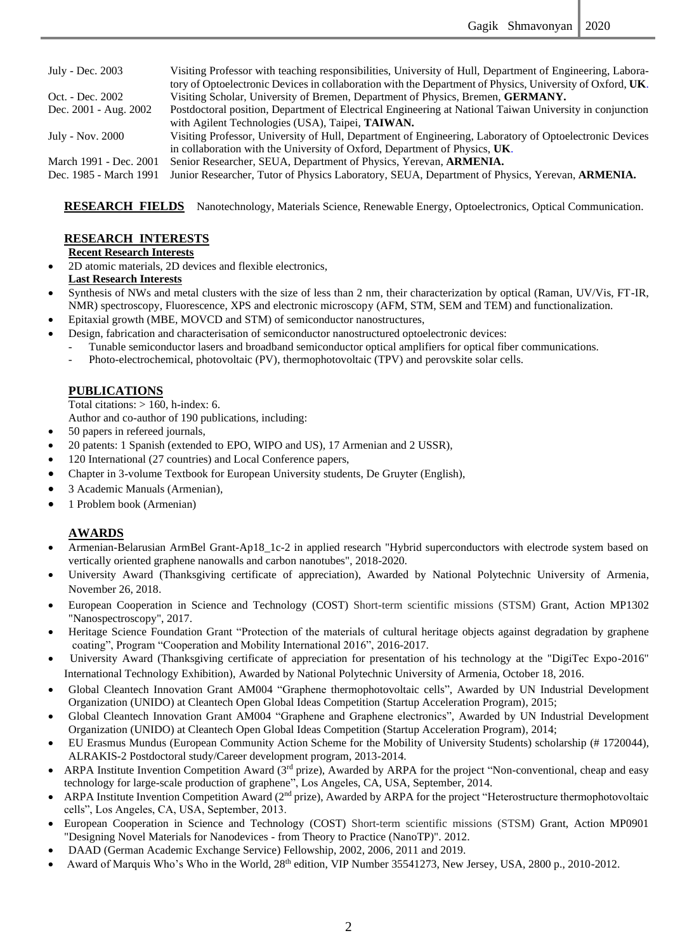| July - Dec. 2003       | Visiting Professor with teaching responsibilities, University of Hull, Department of Engineering, Labora- |
|------------------------|-----------------------------------------------------------------------------------------------------------|
|                        | tory of Optoelectronic Devices in collaboration with the Department of Physics, University of Oxford, UK. |
| Oct. - Dec. 2002       | Visiting Scholar, University of Bremen, Department of Physics, Bremen, GERMANY.                           |
| Dec. 2001 - Aug. 2002  | Postdoctoral position, Department of Electrical Engineering at National Taiwan University in conjunction  |
|                        | with Agilent Technologies (USA), Taipei, TAIWAN.                                                          |
| July - Nov. 2000       | Visiting Professor, University of Hull, Department of Engineering, Laboratory of Optoelectronic Devices   |
|                        | in collaboration with the University of Oxford, Department of Physics, UK.                                |
| March 1991 - Dec. 2001 | Senior Researcher, SEUA, Department of Physics, Yerevan, ARMENIA.                                         |
| Dec. 1985 - March 1991 | Junior Researcher, Tutor of Physics Laboratory, SEUA, Department of Physics, Yerevan, ARMENIA.            |
|                        |                                                                                                           |

**RESEARCH FIELDS** Nanotechnology, Materials Science, Renewable Energy, Optoelectronics, Optical Communication.

### **RESEARCH INTERESTS**

#### **Recent Research Interests**

• 2D atomic materials, 2D devices and flexible electronics, **Last Research Interests**

- Synthesis of NWs and metal clusters with the size of less than 2 nm, their characterization by optical (Raman, UV/Vis, FT-IR, NMR) spectroscopy, Fluorescence, XPS and electronic microscopy (AFM, STM, SEM and TEM) and functionalization.
- Epitaxial growth (MBE, MOVCD and STM) of semiconductor nanostructures,
- Design, fabrication and characterisation of semiconductor nanostructured optoelectronic devices:
	- Tunable semiconductor lasers and broadband semiconductor optical amplifiers for optical fiber communications.
		- Photo-electrochemical, photovoltaic (PV), thermophotovoltaic (TPV) and perovskite solar cells.

#### **PUBLICATIONS**

Total citations:  $> 160$ , h-index: 6.

Author and co-author of 190 publications, including:

- 50 papers in refereed journals,
- 20 patents: 1 Spanish (extended to EPO, WIPO and US), 17 Armenian and 2 USSR),
- 120 International (27 countries) and Local Conference papers,
- Chapter in 3-volume Textbook for European University students, De Gruyter (English),
- 3 Academic Manuals (Armenian),
- 1 Problem book (Armenian)

#### **AWARDS**

- Armenian-Belarusian ArmBel Grant-Ap18<sub>1</sub>1c-2 in applied research "Hybrid superconductors with electrode system based on vertically oriented graphene nanowalls and carbon nanotubes", 2018-2020.
- University Award (Thanksgiving certificate of appreciation), Awarded by National Polytechnic University of Armenia, November 26, 2018.
- European Cooperation in Science and Technology (COST) Short-term scientific missions (STSM) Grant, Action MP1302 "Nanospectroscopy", 2017.
- Heritage Science Foundation Grant "Protection of the materials of cultural heritage objects against degradation by graphene coating", Program "Cooperation and Mobility International 2016", 2016-2017.
- University Award (Thanksgiving certificate of appreciation for presentation of his technology at the "DigiTec Expo-2016" International Technology Exhibition), Awarded by National Polytechnic University of Armenia, October 18, 2016.
- Global Cleantech Innovation Grant AM004 "Graphene thermophotovoltaic cells", Awarded by UN Industrial Development Organization (UNIDO) at Cleantech Open Global Ideas Competition (Startup Acceleration Program), 2015;
- Global Cleantech Innovation Grant AM004 "Graphene and Graphene electronics", Awarded by UN Industrial Development Organization (UNIDO) at Cleantech Open Global Ideas Competition (Startup Acceleration Program), 2014;
- EU Erasmus Mundus (European Community Action Scheme for the Mobility of University Students) scholarship (# 1720044), ALRAKIS-2 Postdoctoral study/Career development program, 2013-2014.
- ARPA Institute Invention Competition Award (3rd prize), Awarded by ARPA for the project "Non-conventional, cheap and easy technology for large-scale production of graphene", Los Angeles, CA, USA, September, 2014.
- ARPA Institute Invention Competition Award (2<sup>nd</sup> prize), Awarded by ARPA for the project "Heterostructure thermophotovoltaic cells", Los Angeles, CA, USA, September, 2013.
- European Cooperation in Science and Technology (COST) Short-term scientific missions (STSM) Grant, Action MP0901 "Designing Novel Materials for Nanodevices - from Theory to Practice (NanoTP)". 2012.
- DAAD (German Academic Exchange Service) Fellowship, 2002, 2006, 2011 and 2019.
- Award of Marquis Who's Who in the World, 28th edition, VIP Number 35541273, New Jersey, USA, 2800 p., 2010-2012.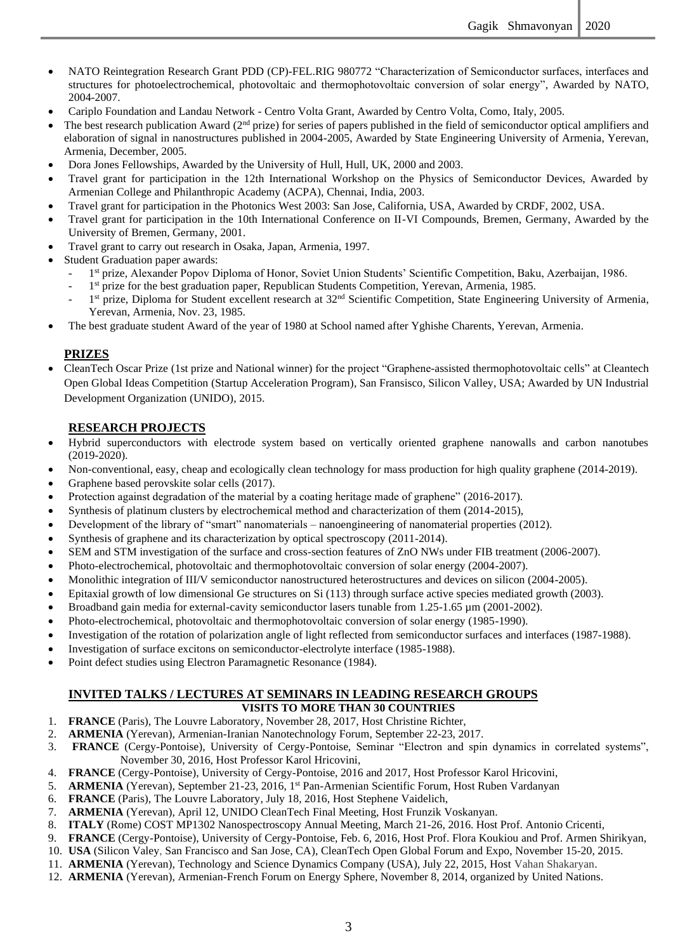- NATO Reintegration Research Grant PDD (CP)-FEL.RIG 980772 "Characterization of Semiconductor surfaces, interfaces and structures for photoelectrochemical, photovoltaic and thermophotovoltaic conversion of solar energy", Awarded by NATO, 2004-2007.
- Cariplo Foundation and Landau Network Centro Volta Grant, Awarded by Centro Volta, Como, Italy, 2005.
- The best research publication Award  $(2<sup>nd</sup> prie)$  for series of papers published in the field of semiconductor optical amplifiers and elaboration of signal in nanostructures published in 2004-2005, Awarded by State Engineering University of Armenia, Yerevan, Armenia, December, 2005.
- Dora Jones Fellowships, Awarded by the University of Hull, Hull, UK, 2000 and 2003.
- Travel grant for participation in the 12th International Workshop on the Physics of Semiconductor Devices, Awarded by Armenian College and Philanthropic Academy (ACPA), Chennai, India, 2003.
- Travel grant for participation in the Photonics West 2003: San Jose, California, USA, Awarded by CRDF, 2002, USA.
- Travel grant for participation in the 10th International Conference on II-VI Compounds, Bremen, Germany, Awarded by the University of Bremen, Germany, 2001.
- Travel grant to carry out research in Osaka, Japan, Armenia, 1997.
- Student Graduation paper awards:
	- 1 st prize, Alexander Popov Diploma of Honor, Soviet Union Students' Scientific Competition, Baku, Azerbaijan, 1986.
	- <sup>-</sup> 1<sup>st</sup> prize for the best graduation paper, Republican Students Competition, Yerevan, Armenia, 1985.
	- <sup>1</sup> 1<sup>st</sup> prize, Diploma for Student excellent research at 32<sup>nd</sup> Scientific Competition, State Engineering University of Armenia, Yerevan, Armenia, Nov. 23, 1985.
- The best graduate student Award of the year of 1980 at School named after Yghishe Charents, Yerevan, Armenia.

#### **PRIZES**

• CleanTech Oscar Prize (1st prize and National winner) for the project "Graphene-assisted thermophotovoltaic cells" at Cleantech Open Global Ideas Competition (Startup Acceleration Program), San Fransisco, Silicon Valley, USA; Awarded by UN Industrial Development Organization (UNIDO), 2015.

### **RESEARCH PROJECTS**

- Hybrid superconductors with electrode system based on vertically oriented graphene nanowalls and carbon nanotubes (2019-2020).
- Non-conventional, easy, cheap and ecologically clean technology for mass production for high quality graphene (2014-2019).
- Graphene based perovskite solar cells (2017).
- Protection against degradation of the material by a coating heritage made of graphene" (2016-2017).
- Synthesis of platinum clusters by electrochemical method and characterization of them (2014-2015),
- Development of the library of "smart" nanomaterials nanoengineering of nanomaterial properties (2012).
- Synthesis of graphene and its characterization by optical spectroscopy (2011-2014).
- SEM and STM investigation of the surface and cross-section features of ZnO NWs under FIB treatment (2006-2007).
- Photo-electrochemical, photovoltaic and thermophotovoltaic conversion of solar energy (2004-2007).
- Monolithic integration of III/V semiconductor nanostructured heterostructures and devices on silicon (2004-2005).
- Epitaxial growth of low dimensional Ge structures on Si (113) through surface active species mediated growth (2003).
- Broadband gain media for external-cavity semiconductor lasers tunable from 1.25-1.65 µm (2001-2002).
- Photo-electrochemical, photovoltaic and thermophotovoltaic conversion of solar energy (1985-1990).
- Investigation of the rotation of polarization angle of light reflected from semiconductor surfaces and interfaces (1987-1988).
- Investigation of surface excitons on semiconductor-electrolyte interface (1985-1988).
- Point defect studies using Electron Paramagnetic Resonance (1984).

#### **INVITED TALKS / LECTURES AT SEMINARS IN LEADING RESEARCH GROUPS VISITS TO MORE THAN 30 COUNTRIES**

- 1. **FRANCE** (Paris), The Louvre Laboratory, November 28, 2017, Host Christine Richter,
- 2. **ARMENIA** (Yerevan), Armenian-Iranian Nanotechnology Forum, September 22-23, 2017.
- 3. **FRANCE** (Cergy-Pontoise), University of Cergy-Pontoise, Seminar "Electron and spin dynamics in correlated systems", November 30, 2016, Host Professor Karol Hricovini,
- 4. **FRANCE** (Cergy-Pontoise), University of Cergy-Pontoise, 2016 and 2017, Host Professor Karol Hricovini,
- 5. **ARMENIA** (Yerevan), September 21-23, 2016, 1st Pan-Armenian Scientific Forum, Host Ruben Vardanyan
- 6. **FRANCE** (Paris), The Louvre Laboratory, July 18, 2016, Host Stephene Vaidelich,
- 7. **ARMENIA** (Yerevan), April 12, UNIDO CleanTech Final Meeting, Host Frunzik Voskanyan.
- 8. **ITALY** (Rome) COST MP1302 Nanospectroscopy Annual Meeting, March 21-26, 2016. Host Prof. Antonio Cricenti,
- 9. **FRANCE** (Cergy-Pontoise), University of Cergy-Pontoise, Feb. 6, 2016, Host Prof. Flora Koukiou and Prof. Armen Shirikyan,
- 10. **USA** (Silicon Valey, San Francisco and San Jose, CA), CleanTech Open Global Forum and Expo, November 15-20, 2015.
- 11. **ARMENIA** (Yerevan), Technology and Science Dynamics Company (USA), July 22, 2015, Host Vahan Shakaryan.
- 12. **ARMENIA** (Yerevan), Armenian-French Forum on Energy Sphere, November 8, 2014, organized by United Nations.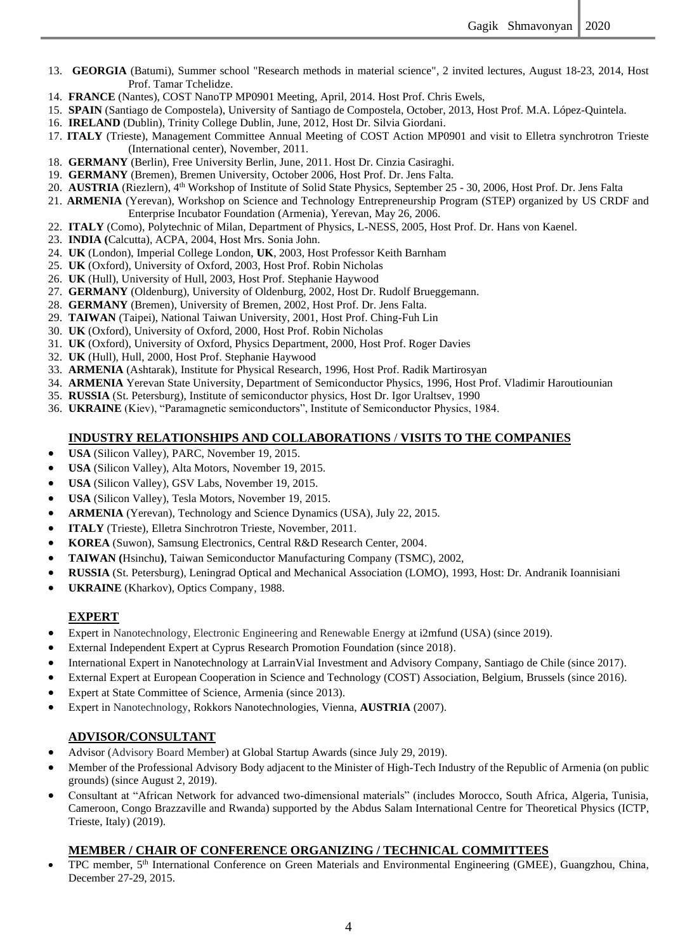- 13. **GEORGIA** (Batumi), Summer school "Research methods in material science", 2 invited lectures, August 18-23, 2014, Host Prof. Tamar Tchelidze.
- 14. **FRANCE** (Nantes), COST NanoTP MP0901 Meeting, April, 2014. Host Prof. Chris Ewels,
- 15. **SPAIN** (Santiago de Compostela), University of Santiago de Compostela, October, 2013, Host Prof. M.A. López-Quintela.
- 16. **IRELAND** (Dublin), Trinity College Dublin, June, 2012, Host Dr. Silvia Giordani.
- 17. **ITALY** (Trieste), Management Committee Annual Meeting of COST Action MP0901 and visit to Elletra synchrotron Trieste (International center), November, 2011.
- 18. **GERMANY** (Berlin), Free University Berlin, June, 2011. Host Dr. Cinzia Casiraghi.
- 19. **GERMANY** (Bremen), Bremen University, October 2006, Host Prof. Dr. Jens Falta.
- 20. AUSTRIA (Riezlern), 4<sup>th</sup> Workshop of Institute of Solid State Physics, September 25 30, 2006, Host Prof. Dr. Jens Falta
- 21. **ARMENIA** (Yerevan), Workshop on Science and Technology Entrepreneurship Program (STEP) organized by US CRDF and Enterprise Incubator Foundation (Armenia), Yerevan, May 26, 2006.
- 22. **ITALY** (Como), Polytechnic of Milan, Department of Physics, L-NESS, 2005, Host Prof. Dr. Hans von Kaenel.
- 23. **INDIA (**Calcutta), ACPA, 2004, Host Mrs. Sonia John.
- 24. **UK** (London), Imperial College London, **UK**, 2003, Host Professor Keith Barnham
- 25. **UK** (Oxford), University of Oxford, 2003, Host Prof. Robin Nicholas
- 26. **UK** (Hull), University of Hull, 2003, Host Prof. Stephanie Haywood
- 27. **GERMANY** (Oldenburg), University of Oldenburg, 2002, Host Dr. Rudolf Brueggemann.
- 28. **GERMANY** (Bremen), University of Bremen, 2002, Host Prof. Dr. Jens Falta.
- 29. **TAIWAN** (Taipei), National Taiwan University, 2001, Host Prof. Ching-Fuh Lin
- 30. **UK** (Oxford), University of Oxford, 2000, Host Prof. Robin Nicholas
- 31. **UK** (Oxford), University of Oxford, Physics Department, 2000, Host Prof. Roger Davies
- 32. **UK** (Hull), Hull, 2000, Host Prof. Stephanie Haywood
- 33. **ARMENIA** (Ashtarak), Institute for Physical Research, 1996, Host Prof. Radik Martirosyan
- 34. **ARMENIA** Yerevan State University, Department of Semiconductor Physics, 1996, Host Prof. Vladimir Haroutiounian
- 35. **RUSSIA** (St. Petersburg), Institute of semiconductor physics, Host Dr. Igor Uraltsev, 1990
- 36. **UKRAINE** (Kiev), "Paramagnetic semiconductors", Institute of Semiconductor Physics, 1984.

#### **INDUSTRY RELATIONSHIPS AND COLLABORATIONS** / **VISITS TO THE COMPANIES**

- **USA** (Silicon Valley), PARC, November 19, 2015.
- **USA** (Silicon Valley), Alta Motors, November 19, 2015.
- **USA** (Silicon Valley), GSV Labs, November 19, 2015.
- **USA** (Silicon Valley), Tesla Motors, November 19, 2015.
- **ARMENIA** (Yerevan), Technology and Science Dynamics (USA), July 22, 2015.
- **ITALY** (Trieste), Elletra Sinchrotron Trieste, November, 2011.
- **KOREA** (Suwon), Samsung Electronics, Central R&D Research Center, 2004.
- **TAIWAN (**[Hsinchu](https://en.wikipedia.org/wiki/Hsinchu)**)**, Taiwan Semiconductor Manufacturing Company (TSMC), 2002,
- **RUSSIA** (St. Petersburg), Leningrad Optical and Mechanical Association (LOMO), 1993, Host: Dr. Andranik Ioannisiani
- **UKRAINE** (Kharkov), Optics Company, 1988.

#### **EXPERT**

- Expert in Nanotechnology, Electronic Engineering and Renewable Energy at i2mfund (USA) (since 2019).
- External Independent Expert at Cyprus Research Promotion Foundation (since 2018).
- International Expert in Nanotechnology at LarrainVial Investment and Advisory Company, Santiago de Chile (since 2017).
- External Expert at European Cooperation in Science and Technology (COST) Association, Belgium, Brussels (since 2016).
- Expert at State Committee of Science, Armenia (since 2013).
- Expert in Nanotechnology, Rokkors Nanotechnologies, Vienna, **AUSTRIA** (2007).

#### **ADVISOR/CONSULTANT**

- Advisor (Advisory Board Member) at Global Startup Awards (since July 29, 2019).
- Member of the Professional Advisory Body adjacent to the Minister of High-Tech Industry of the Republic of Armenia (on public grounds) (since August 2, 2019).
- Consultant at "African Network for advanced two-dimensional materials" (includes Morocco, South Africa, Algeria, Tunisia, Cameroon, Congo Brazzaville and Rwanda) supported by the Abdus Salam International Centre for Theoretical Physics (ICTP, Trieste, Italy) (2019).

#### **MEMBER / CHAIR OF CONFERENCE ORGANIZING / TECHNICAL COMMITTEES**

• TPC member, 5<sup>th</sup> International Conference on Green Materials and Environmental Engineering (GMEE), Guangzhou, China, December 27-29, 2015.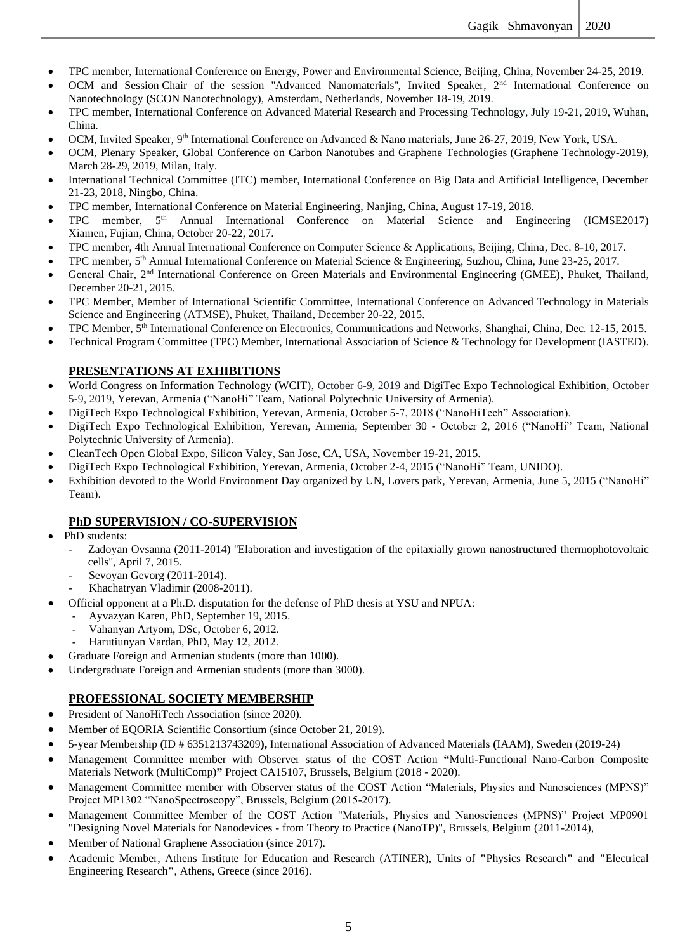- TPC member, International Conference on Energy, Power and Environmental Science, Beijing, China, November 24-25, 2019.
- OCM and Session Chair of the session "Advanced Nanomaterials", Invited Speaker, 2<sup>nd</sup> International Conference on Nanotechnology **(**SCON Nanotechnology), Amsterdam, Netherlands, November 18-19, 2019.
- TPC member, International Conference on Advanced Material Research and Processing Technology, July 19-21, 2019, Wuhan, China.
- OCM, Invited Speaker,  $9<sup>th</sup>$  International Conference on Advanced & Nano materials, June 26-27, 2019, New York, USA.
- OCM, Plenary Speaker, Global Conference on Carbon Nanotubes and Graphene Technologies (Graphene Technology-2019), March 28-29, 2019, Milan, Italy.
- International Technical Committee (ITC) member, International Conference on Big Data and Artificial Intelligence, December 21-23, 2018, Ningbo, China.
- TPC member, International Conference on Material Engineering, Nanjing, China, August 17-19, 2018.
- TPC member, 5<sup>th</sup> Annual International Conference on Material Science and Engineering (ICMSE2017) Xiamen, Fujian, China, October 20-22, 2017.
- TPC member, 4th Annual International Conference on Computer Science & Applications, Beijing, China, Dec. 8-10, 2017.
- TPC member, 5<sup>th</sup> Annual International Conference on Material Science & Engineering, Suzhou, China, June 23-25, 2017.
- General Chair, 2<sup>nd</sup> International Conference on Green Materials and Environmental Engineering (GMEE), Phuket, Thailand, December 20-21, 2015.
- TPC Member, Member of International Scientific Committee, International Conference on Advanced Technology in Materials Science and Engineering (ATMSE), Phuket, Thailand, December 20-22, 2015.
- TPC Member, 5<sup>th</sup> International Conference on Electronics, Communications and Networks, Shanghai, China, Dec. 12-15, 2015.
- Technical Program Committee (TPC) Member, International Association of Science & Technology for Development (IASTED).

## **PRESENTATIONS AT EXHIBITIONS**

- World Congress on Information Technology (WCIT), October 6-9, 2019 and DigiTec Expo Technological Exhibition, October 5-9, 2019, Yerevan, Armenia ("NanoHi" Team, National Polytechnic University of Armenia).
- DigiTech Expo Technological Exhibition, Yerevan, Armenia, October 5-7, 2018 ("NanoHiTech" Association).
- DigiTech Expo Technological Exhibition, Yerevan, Armenia, September 30 October 2, 2016 ("NanoHi" Team, National Polytechnic University of Armenia).
- CleanTech Open Global Expo, Silicon Valey, San Jose, CA, USA, November 19-21, 2015.
- DigiTech Expo Technological Exhibition, Yerevan, Armenia, October 2-4, 2015 ("NanoHi" Team, UNIDO).
- Exhibition devoted to the World Environment Day organized by UN, Lovers park, Yerevan, Armenia, June 5, 2015 ("NanoHi" Team).

#### **PhD SUPERVISION / CO-SUPERVISION**

- PhD students:
	- Zadoyan Ovsanna (2011-2014) ''Elaboration and investigation of the epitaxially grown nanostructured thermophotovoltaic cells'', April 7, 2015.
		- Sevoyan Gevorg (2011-2014).
		- Khachatryan Vladimir (2008-2011).
- Official opponent at a Ph.D. disputation for the defense of PhD thesis at YSU and NPUA:
	- Ayvazyan Karen, PhD, September 19, 2015.
	- Vahanyan Artyom, DSc, October 6, 2012.
	- Harutiunyan Vardan, PhD, May 12, 2012.
- Graduate Foreign and Armenian students (more than 1000).
- Undergraduate Foreign and Armenian students (more than 3000).

## **PROFESSIONAL SOCIETY MEMBERSHIP**

- President of NanoHiTech Association (since 2020).
- Member of EQORIA Scientific Consortium (since October 21, 2019).
- 5-year Membership **(**ID # 6351213743209**),** International Association of Advanced Materials **(**IAAM**)**, Sweden (2019-24)
- Management Committee member with Observer status of the COST Action **"**Multi-Functional Nano-Carbon Composite Materials Network (MultiComp)**"** Project CA15107, Brussels, Belgium (2018 - 2020).
- Management Committee member with Observer status of the COST Action "Materials, Physics and Nanosciences (MPNS)" Project MP1302 "NanoSpectroscopy", Brussels, Belgium (2015-2017).
- Management Committee Member of the COST Action "Materials, Physics and Nanosciences (MPNS)" Project MP0901 "Designing Novel Materials for Nanodevices - from Theory to Practice (NanoTP)", Brussels, Belgium (2011-2014),
- Member of National Graphene Association (since 2017).
- Academic Member, Athens Institute for Education and Research (ATINER), Units of **"**Physics Research**"** and **"**Electrical Engineering Research**"**, Athens, Greece (since 2016).